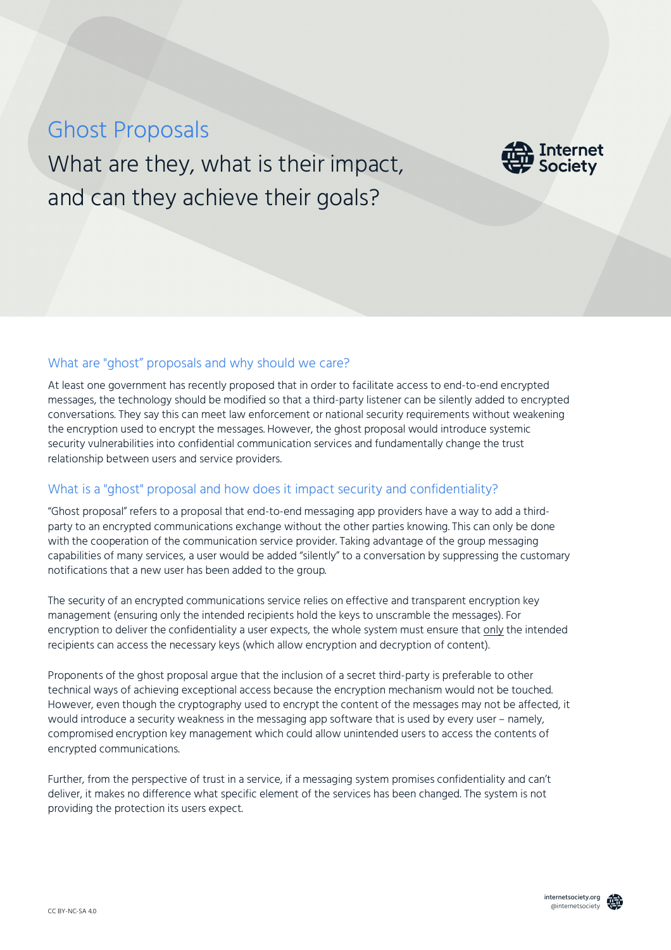# Ghost Proposals

What are they, what is their impact, and can they achieve their goals?



## What are "ghost" proposals and why should we care?

At least one government has recently proposed that in order to facilitate access to end-to-end encrypted messages, the technology should be modified so that a third-party listener can be silently added to encrypted conversations. They say this can meet law enforcement or national security requirements without weakening the encryption used to encrypt the messages. However, the ghost proposal would introduce systemic security vulnerabilities into confidential communication services and fundamentally change the trust relationship between users and service providers.

## What is a "ghost" proposal and how does it impact security and confidentiality?

"Ghost proposal" refers to a proposal that end-to-end messaging app providers have a way to add a thirdparty to an encrypted communications exchange without the other parties knowing. This can only be done with the cooperation of the communication service provider. Taking advantage of the group messaging capabilities of many services, a user would be added "silently" to a conversation by suppressing the customary notifications that a new user has been added to the group.

The security of an encrypted communications service relies on effective and transparent encryption key management (ensuring only the intended recipients hold the keys to unscramble the messages). For encryption to deliver the confidentiality a user expects, the whole system must ensure that only the intended recipients can access the necessary keys (which allow encryption and decryption of content).

Proponents of the ghost proposal argue that the inclusion of a secret third-party is preferable to other technical ways of achieving exceptional access because the encryption mechanism would not be touched. However, even though the cryptography used to encrypt the content of the messages may not be affected, it would introduce a security weakness in the messaging app software that is used by every user – namely, compromised encryption key management which could allow unintended users to access the contents of encrypted communications.

Further, from the perspective of trust in a service, if a messaging system promises confidentiality and can't deliver, it makes no difference what specific element of the services has been changed. The system is not providing the protection its users expect.

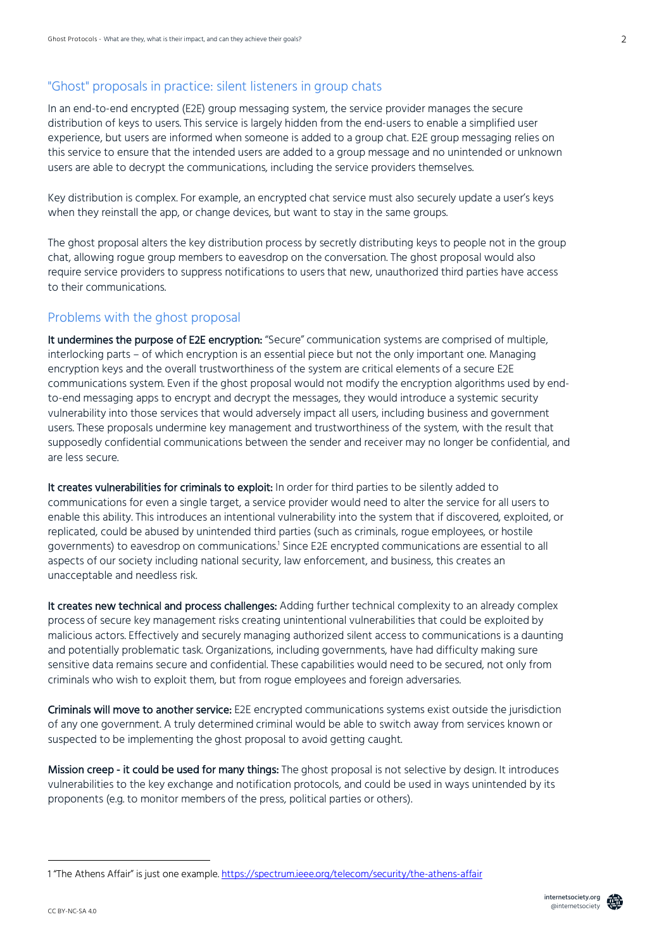# "Ghost" proposals in practice: silent listeners in group chats

In an end-to-end encrypted (E2E) group messaging system, the service provider manages the secure distribution of keys to users. This service is largely hidden from the end-users to enable a simplified user experience, but users are informed when someone is added to a group chat. E2E group messaging relies on this service to ensure that the intended users are added to a group message and no unintended or unknown users are able to decrypt the communications, including the service providers themselves.

Key distribution is complex. For example, an encrypted chat service must also securely update a user's keys when they reinstall the app, or change devices, but want to stay in the same groups.

The ghost proposal alters the key distribution process by secretly distributing keys to people not in the group chat, allowing rogue group members to eavesdrop on the conversation. The ghost proposal would also require service providers to suppress notifications to users that new, unauthorized third parties have access to their communications.

## Problems with the ghost proposal

It undermines the purpose of E2E encryption: "Secure" communication systems are comprised of multiple, interlocking parts – of which encryption is an essential piece but not the only important one. Managing encryption keys and the overall trustworthiness of the system are critical elements of a secure E2E communications system. Even if the ghost proposal would not modify the encryption algorithms used by endto-end messaging apps to encrypt and decrypt the messages, they would introduce a systemic security vulnerability into those services that would adversely impact all users, including business and government users. These proposals undermine key management and trustworthiness of the system, with the result that supposedly confidential communications between the sender and receiver may no longer be confidential, and are less secure.

It creates vulnerabilities for criminals to exploit: In order for third parties to be silently added to communications for even a single target, a service provider would need to alter the service for all users to enable this ability. This introduces an intentional vulnerability into the system that if discovered, exploited, or replicated, could be abused by unintended third parties (such as criminals, rogue employees, or hostile governments) to eavesdrop on communications.1 Since E2E encrypted communications are essential to all aspects of our society including national security, law enforcement, and business, this creates an unacceptable and needless risk.

It creates new technical and process challenges: Adding further technical complexity to an already complex process of secure key management risks creating unintentional vulnerabilities that could be exploited by malicious actors. Effectively and securely managing authorized silent access to communications is a daunting and potentially problematic task. Organizations, including governments, have had difficulty making sure sensitive data remains secure and confidential. These capabilities would need to be secured, not only from criminals who wish to exploit them, but from rogue employees and foreign adversaries.

Criminals will move to another service: E2E encrypted communications systems exist outside the jurisdiction of any one government. A truly determined criminal would be able to switch away from services known or suspected to be implementing the ghost proposal to avoid getting caught.

Mission creep - it could be used for many things: The ghost proposal is not selective by design. It introduces vulnerabilities to the key exchange and notification protocols, and could be used in ways unintended by its proponents (e.g. to monitor members of the press, political parties or others).

j



<sup>1 &</sup>quot;The Athens Affair" is just one example. https://spectrum.ieee.org/telecom/security/the-athens-affair